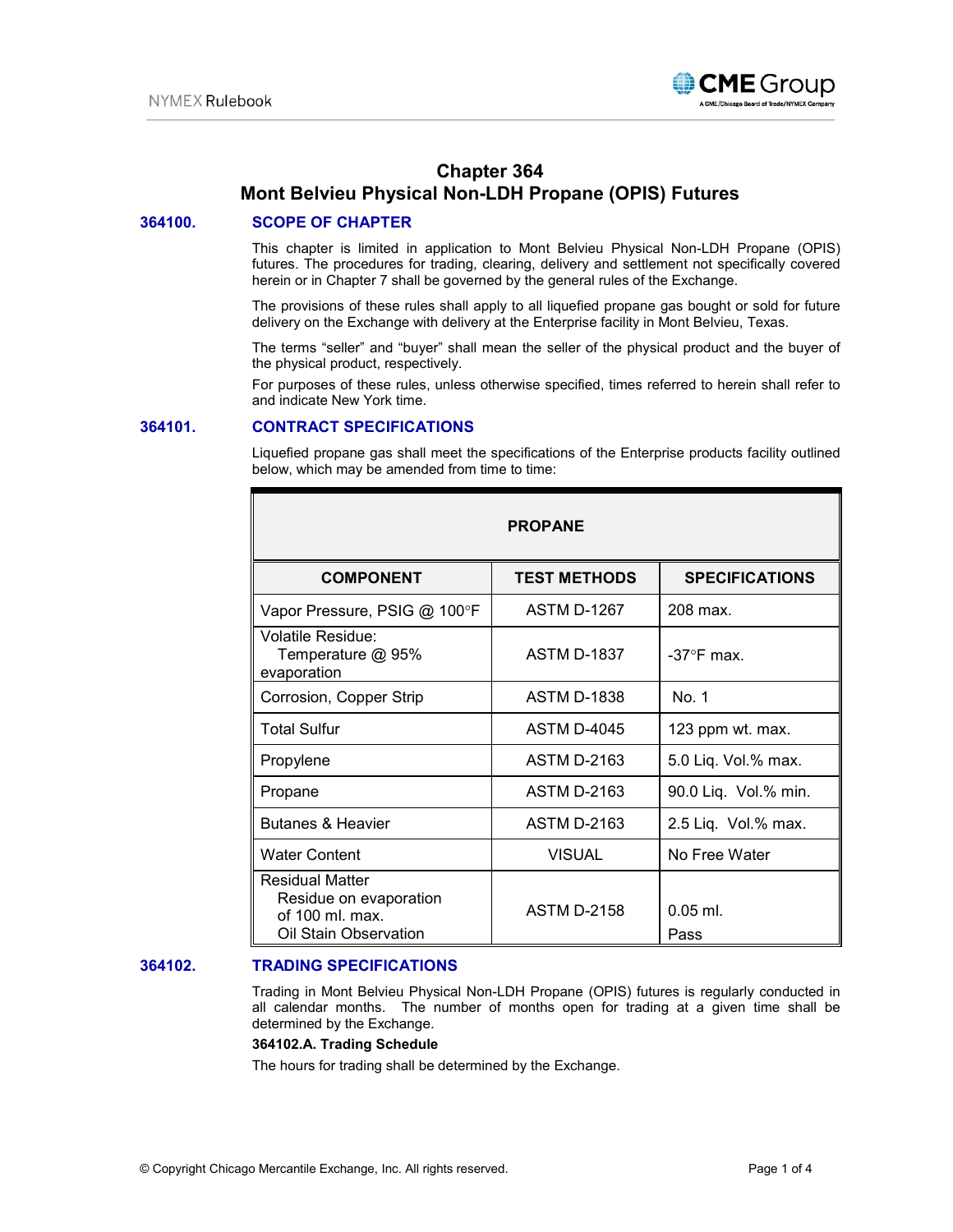

# **Chapter 364 Mont Belvieu Physical Non-LDH Propane (OPIS) Futures**

# **364100. SCOPE OF CHAPTER**

This chapter is limited in application to Mont Belvieu Physical Non-LDH Propane (OPIS) futures. The procedures for trading, clearing, delivery and settlement not specifically covered herein or in Chapter 7 shall be governed by the general rules of the Exchange.

The provisions of these rules shall apply to all liquefied propane gas bought or sold for future delivery on the Exchange with delivery at the Enterprise facility in Mont Belvieu, Texas.

The terms "seller" and "buyer" shall mean the seller of the physical product and the buyer of the physical product, respectively.

For purposes of these rules, unless otherwise specified, times referred to herein shall refer to and indicate New York time.

### **364101. CONTRACT SPECIFICATIONS**

Liquefied propane gas shall meet the specifications of the Enterprise products facility outlined below, which may be amended from time to time:

| <b>PROPANE</b>                                                                               |                     |                       |
|----------------------------------------------------------------------------------------------|---------------------|-----------------------|
| <b>COMPONENT</b>                                                                             | <b>TEST METHODS</b> | <b>SPECIFICATIONS</b> |
| Vapor Pressure, PSIG @ 100°F                                                                 | <b>ASTM D-1267</b>  | 208 max.              |
| <b>Volatile Residue:</b><br>Temperature @ 95%<br>evaporation                                 | <b>ASTM D-1837</b>  | $-37^\circ$ F max.    |
| Corrosion, Copper Strip                                                                      | <b>ASTM D-1838</b>  | No. 1                 |
| <b>Total Sulfur</b>                                                                          | <b>ASTM D-4045</b>  | 123 ppm wt. max.      |
| Propylene                                                                                    | <b>ASTM D-2163</b>  | 5.0 Liq. Vol.% max.   |
| Propane                                                                                      | <b>ASTM D-2163</b>  | 90.0 Liq. Vol.% min.  |
| <b>Butanes &amp; Heavier</b>                                                                 | <b>ASTM D-2163</b>  | 2.5 Liq. Vol.% max.   |
| <b>Water Content</b>                                                                         | <b>VISUAL</b>       | No Free Water         |
| <b>Residual Matter</b><br>Residue on evaporation<br>of 100 ml. max.<br>Oil Stain Observation | <b>ASTM D-2158</b>  | $0.05$ ml.<br>Pass    |

# **364102. TRADING SPECIFICATIONS**

Trading in Mont Belvieu Physical Non-LDH Propane (OPIS) futures is regularly conducted in all calendar months. The number of months open for trading at a given time shall be determined by the Exchange.

#### **364102.A. Trading Schedule**

The hours for trading shall be determined by the Exchange.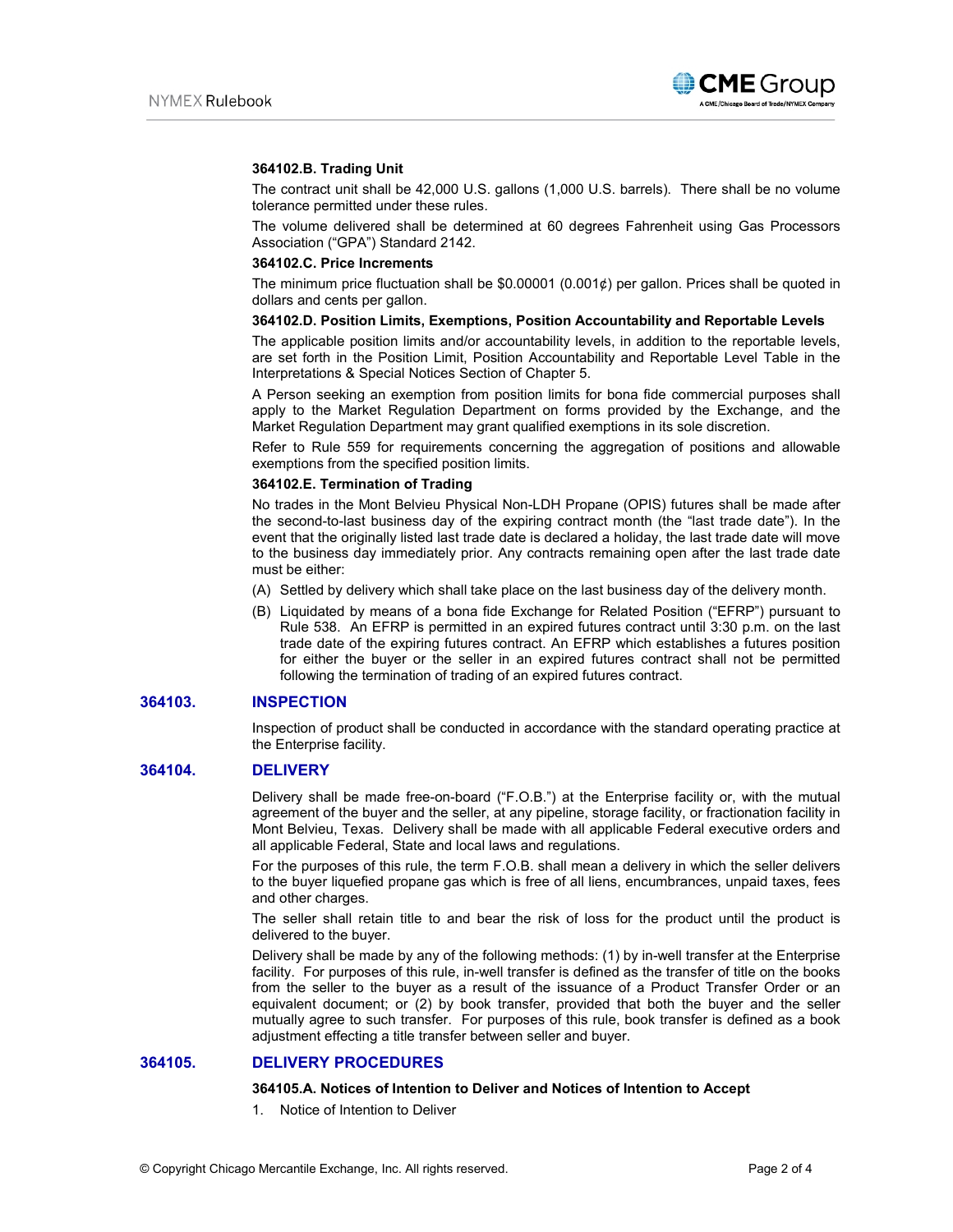

#### **364102.B. Trading Unit**

The contract unit shall be 42,000 U.S. gallons (1,000 U.S. barrels). There shall be no volume tolerance permitted under these rules.

The volume delivered shall be determined at 60 degrees Fahrenheit using Gas Processors Association ("GPA") Standard 2142.

#### **364102.C. Price Increments**

The minimum price fluctuation shall be  $$0.00001$  (0.001¢) per gallon. Prices shall be quoted in dollars and cents per gallon.

#### **364102.D. Position Limits, Exemptions, Position Accountability and Reportable Levels**

The applicable position limits and/or accountability levels, in addition to the reportable levels, are set forth in the Position Limit, Position Accountability and Reportable Level Table in the Interpretations & Special Notices Section of Chapter 5.

A Person seeking an exemption from position limits for bona fide commercial purposes shall apply to the Market Regulation Department on forms provided by the Exchange, and the Market Regulation Department may grant qualified exemptions in its sole discretion.

Refer to Rule 559 for requirements concerning the aggregation of positions and allowable exemptions from the specified position limits.

## **364102.E. Termination of Trading**

No trades in the Mont Belvieu Physical Non-LDH Propane (OPIS) futures shall be made after the second-to-last business day of the expiring contract month (the "last trade date"). In the event that the originally listed last trade date is declared a holiday, the last trade date will move to the business day immediately prior. Any contracts remaining open after the last trade date must be either:

- (A) Settled by delivery which shall take place on the last business day of the delivery month.
- (B) Liquidated by means of a bona fide Exchange for Related Position ("EFRP") pursuant to Rule 538. An EFRP is permitted in an expired futures contract until 3:30 p.m. on the last trade date of the expiring futures contract. An EFRP which establishes a futures position for either the buyer or the seller in an expired futures contract shall not be permitted following the termination of trading of an expired futures contract.

### **364103. INSPECTION**

Inspection of product shall be conducted in accordance with the standard operating practice at the Enterprise facility.

# **364104. DELIVERY**

Delivery shall be made free-on-board ("F.O.B.") at the Enterprise facility or, with the mutual agreement of the buyer and the seller, at any pipeline, storage facility, or fractionation facility in Mont Belvieu, Texas. Delivery shall be made with all applicable Federal executive orders and all applicable Federal, State and local laws and regulations.

For the purposes of this rule, the term F.O.B. shall mean a delivery in which the seller delivers to the buyer liquefied propane gas which is free of all liens, encumbrances, unpaid taxes, fees and other charges.

The seller shall retain title to and bear the risk of loss for the product until the product is delivered to the buyer.

Delivery shall be made by any of the following methods: (1) by in-well transfer at the Enterprise facility. For purposes of this rule, in-well transfer is defined as the transfer of title on the books from the seller to the buyer as a result of the issuance of a Product Transfer Order or an equivalent document; or (2) by book transfer, provided that both the buyer and the seller mutually agree to such transfer. For purposes of this rule, book transfer is defined as a book adjustment effecting a title transfer between seller and buyer.

#### **364105. DELIVERY PROCEDURES**

#### **364105.A. Notices of Intention to Deliver and Notices of Intention to Accept**

1. Notice of Intention to Deliver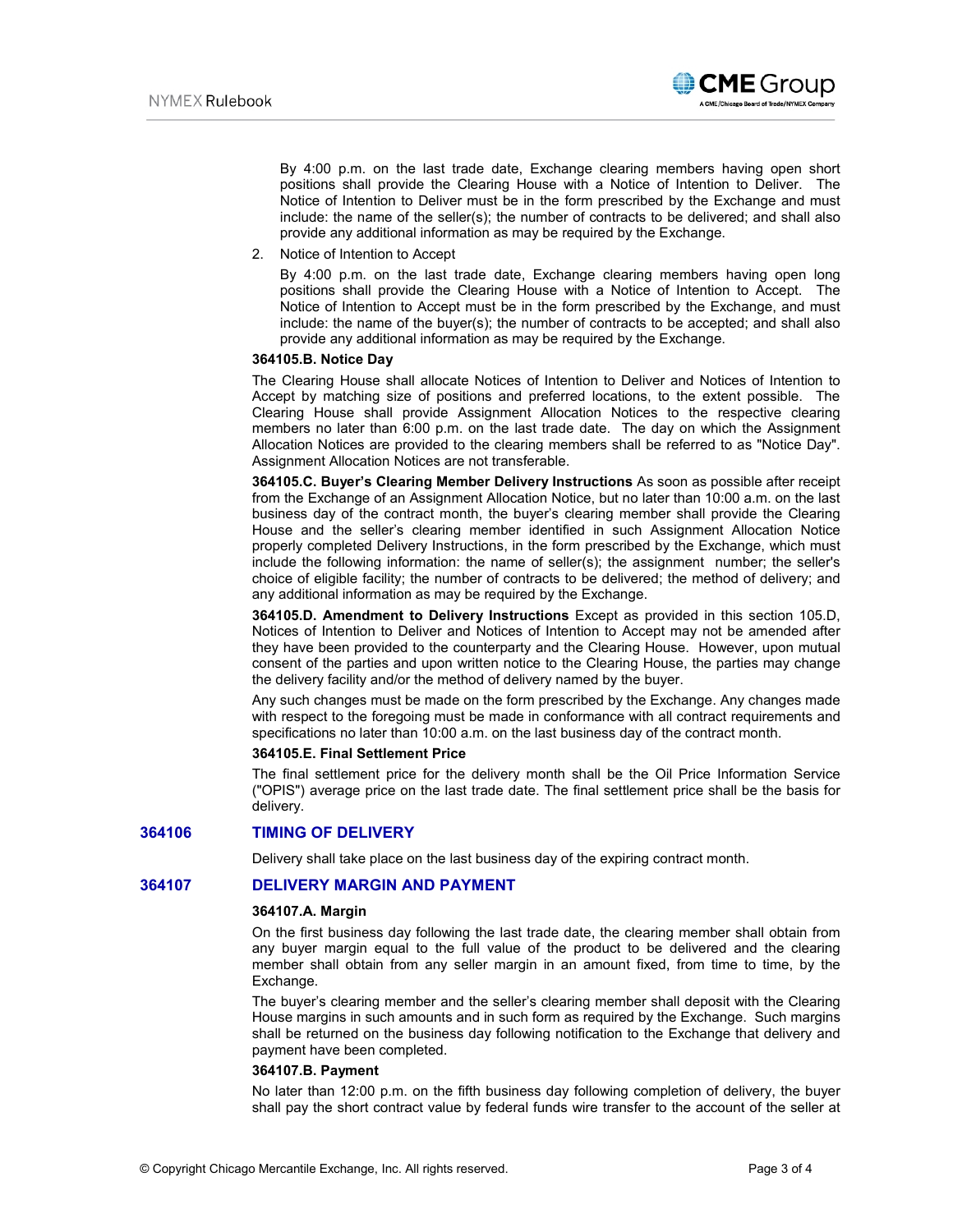

By 4:00 p.m. on the last trade date, Exchange clearing members having open short positions shall provide the Clearing House with a Notice of Intention to Deliver. The Notice of Intention to Deliver must be in the form prescribed by the Exchange and must include: the name of the seller(s); the number of contracts to be delivered; and shall also provide any additional information as may be required by the Exchange.

2. Notice of Intention to Accept

By 4:00 p.m. on the last trade date, Exchange clearing members having open long positions shall provide the Clearing House with a Notice of Intention to Accept. The Notice of Intention to Accept must be in the form prescribed by the Exchange, and must include: the name of the buyer(s); the number of contracts to be accepted; and shall also provide any additional information as may be required by the Exchange.

#### **364105.B. Notice Day**

The Clearing House shall allocate Notices of Intention to Deliver and Notices of Intention to Accept by matching size of positions and preferred locations, to the extent possible. The Clearing House shall provide Assignment Allocation Notices to the respective clearing members no later than 6:00 p.m. on the last trade date. The day on which the Assignment Allocation Notices are provided to the clearing members shall be referred to as "Notice Day". Assignment Allocation Notices are not transferable.

**364105.C. Buyer's Clearing Member Delivery Instructions** As soon as possible after receipt from the Exchange of an Assignment Allocation Notice, but no later than 10:00 a.m. on the last business day of the contract month, the buyer's clearing member shall provide the Clearing House and the seller's clearing member identified in such Assignment Allocation Notice properly completed Delivery Instructions, in the form prescribed by the Exchange, which must include the following information: the name of seller(s); the assignment number; the seller's choice of eligible facility; the number of contracts to be delivered; the method of delivery; and any additional information as may be required by the Exchange.

**364105.D. Amendment to Delivery Instructions** Except as provided in this section 105.D, Notices of Intention to Deliver and Notices of Intention to Accept may not be amended after they have been provided to the counterparty and the Clearing House. However, upon mutual consent of the parties and upon written notice to the Clearing House, the parties may change the delivery facility and/or the method of delivery named by the buyer.

Any such changes must be made on the form prescribed by the Exchange. Any changes made with respect to the foregoing must be made in conformance with all contract requirements and specifications no later than 10:00 a.m. on the last business day of the contract month.

# **364105.E. Final Settlement Price**

The final settlement price for the delivery month shall be the Oil Price Information Service ("OPIS") average price on the last trade date. The final settlement price shall be the basis for delivery.

#### **364106 TIMING OF DELIVERY**

Delivery shall take place on the last business day of the expiring contract month.

# **364107 DELIVERY MARGIN AND PAYMENT**

#### **364107.A. Margin**

On the first business day following the last trade date, the clearing member shall obtain from any buyer margin equal to the full value of the product to be delivered and the clearing member shall obtain from any seller margin in an amount fixed, from time to time, by the Exchange.

The buyer's clearing member and the seller's clearing member shall deposit with the Clearing House margins in such amounts and in such form as required by the Exchange. Such margins shall be returned on the business day following notification to the Exchange that delivery and payment have been completed.

#### **364107.B. Payment**

No later than 12:00 p.m. on the fifth business day following completion of delivery, the buyer shall pay the short contract value by federal funds wire transfer to the account of the seller at